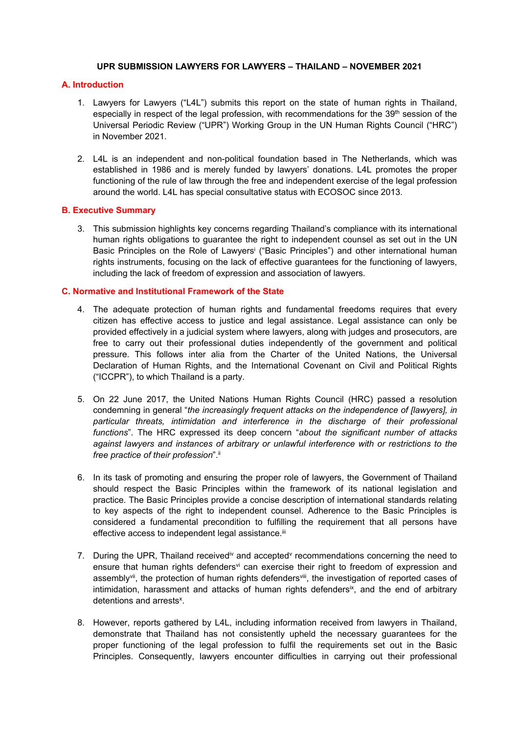#### **UPR SUBMISSION LAWYERS FOR LAWYERS – THAILAND – NOVEMBER 2021**

## **A. Introduction**

- 1. Lawyers for Lawyers ("L4L") submits this report on the state of human rights in Thailand, especially in respect of the legal profession, with recommendations for the 39<sup>th</sup> session of the Universal Periodic Review ("UPR") Working Group in the UN Human Rights Council ("HRC") in November 2021.
- 2. L4L is an independent and non-political foundation based in The Netherlands, which was established in 1986 and is merely funded by lawyers' donations. L4L promotes the proper functioning of the rule of law through the free and independent exercise of the legal profession around the world. L4L has special consultative status with ECOSOC since 2013.

#### **B. Executive Summary**

3. This submission highlights key concerns regarding Thailand'<sup>s</sup> compliance with its international human rights obligations to guarantee the right to independent counsel as set out in the UN Basic Principles on the Role of Lawyers<sup>i</sup> ("Basic Principles") and other international human rights instruments, focusing on the lack of effective guarantees for the functioning of lawyers, including the lack of freedom of expression and association of lawyers.

## **C. Normative and Institutional Framework of the State**

- 4. The adequate protection of human rights and fundamental freedoms requires that every citizen has effective access to justice and legal assistance. Legal assistance can only be provided effectively in <sup>a</sup> judicial system where lawyers, along with judges and prosecutors, are free to carry out their professional duties independently of the government and political pressure. This follows inter alia from the Charter of the United Nations, the Universal Declaration of Human Rights, and the International Covenant on Civil and Political Rights ("ICCPR"), to which Thailand is <sup>a</sup> party.
- 5. On 22 June 2017, the United Nations Human Rights Council (HRC) passed <sup>a</sup> resolution condemning in general "*the increasingly frequent attacks on the independence of [lawyers], in particular threats, intimidation and interference in the discharge of their professional functions*". The HRC expressed its deep concern "*about the significant number of attacks against lawyers and instances of arbitrary or unlawful interference with or restrictions to the free practice of their profession*". ii
- 6. In its task of promoting and ensuring the proper role of lawyers, the Government of Thailand should respect the Basic Principles within the framework of its national legislation and practice. The Basic Principles provide <sup>a</sup> concise description of international standards relating to key aspects of the right to independent counsel. Adherence to the Basic Principles is considered <sup>a</sup> fundamental precondition to fulfilling the requirement that all persons have effective access to independent legal assistance.<sup>ii</sup>
- 7. During the UPR, Thailand received<sup>iv</sup> and accepted<sup>v</sup> recommendations concerning the need to ensure that human rights defenders<sup>vi</sup> can exercise their right to freedom of expression and assembly<sup>vii</sup>, the protection of human rights defenders<sup>viii</sup>, the investigation of reported cases of intimidation, harassment and attacks of human rights defenders<sup>ix</sup>, and the end of arbitrary detentions and arrests<sup>x</sup>.
- 8. However, reports gathered by L4L, including information received from lawyers in Thailand, demonstrate that Thailand has not consistently upheld the necessary guarantees for the proper functioning of the legal profession to fulfil the requirements set out in the Basic Principles. Consequently, lawyers encounter difficulties in carrying out their professional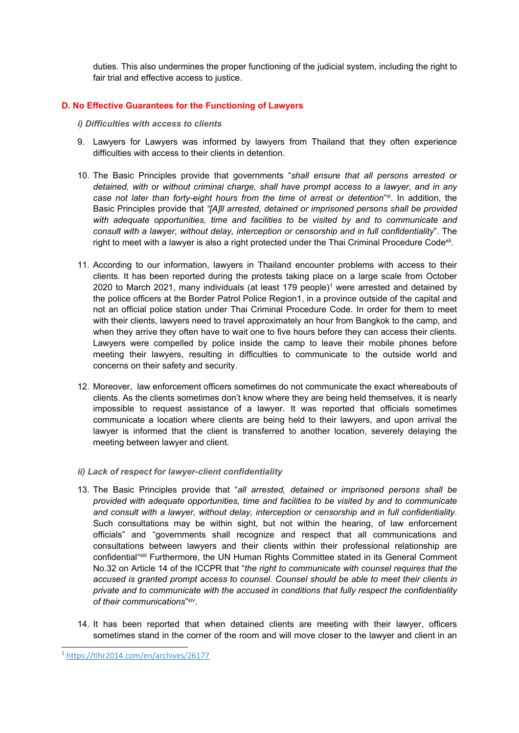duties. This also undermines the proper functioning of the judicial system, including the right to fair trial and effective access to justice.

## **D. No Effective Guarantees for the Functioning of Lawyers**

- *i) Difficulties with access to clients*
- 9. Lawyers for Lawyers was informed by lawyers from Thailand that they often experience difficulties with access to their clients in detention.
- 10. The Basic Principles provide that governments "*shall ensure that all persons arrested or detained, with or without criminal charge, shall have prompt access to <sup>a</sup> lawyer, and in any case not later than forty-eight hours from the time of arrest or detention*" xi . In addition, the Basic Principles provide that *"[A]ll arrested, detained or imprisoned persons shall be provided with adequate opportunities, time and facilities to be visited by and to communicate and consult with <sup>a</sup> lawyer, without delay, interception or censorship and in full confidentiality*". The right to meet with a lawyer is also a right protected under the Thai Criminal Procedure Code<sup>xii</sup>.
- 11. According to our information, lawyers in Thailand encounter problems with access to their clients. It has been reported during the protests taking place on <sup>a</sup> large scale from October 2020 to March 2021, many individuals (at least 179 people) <sup>1</sup> were arrested and detained by the police officers at the Border Patrol Police Region1, in <sup>a</sup> province outside of the capital and not an official police station under Thai Criminal Procedure Code. In order for them to meet with their clients, lawyers need to travel approximately an hour from Bangkok to the camp, and when they arrive they often have to wait one to five hours before they can access their clients. Lawyers were compelled by police inside the camp to leave their mobile phones before meeting their lawyers, resulting in difficulties to communicate to the outside world and concerns on their safety and security.
- 12. Moreover, law enforcement officers sometimes do not communicate the exact whereabouts of clients. As the clients sometimes don't know where they are being held themselves, it is nearly impossible to request assistance of <sup>a</sup> lawyer. It was reported that officials sometimes communicate <sup>a</sup> location where clients are being held to their lawyers, and upon arrival the lawyer is informed that the client is transferred to another location, severely delaying the meeting between lawyer and client.
- *ii) Lack of respect for lawyer-client confidentiality*
- 13. The Basic Principles provide that "*all arrested, detained or imprisoned persons shall be provided with adequate opportunities, time and facilities to be visited by and to communicate and consult with <sup>a</sup> lawyer, without delay, interception or censorship and in full confidentiality*. Such consultations may be within sight, but not within the hearing, of law enforcement officials" and "governments shall recognize and respect that all communications and consultations between lawyers and their clients within their professional relationship are confidential"<sup>xiii</sup> Furthermore, the UN Human Rights Committee stated in its General Comment No.32 on Article 14 of the ICCPR that "*the right to communicate with counsel requires that the accused is granted prompt access to counsel. Counsel should be able to meet their clients in private and to communicate with the accused in conditions that fully respect the confidentiality of their communications*" xiv .
- 14. It has been reported that when detained clients are meeting with their lawyer, officers sometimes stand in the corner of the room and will move closer to the lawyer and client in an

<sup>1</sup> <https://tlhr2014.com/en/archives/26177>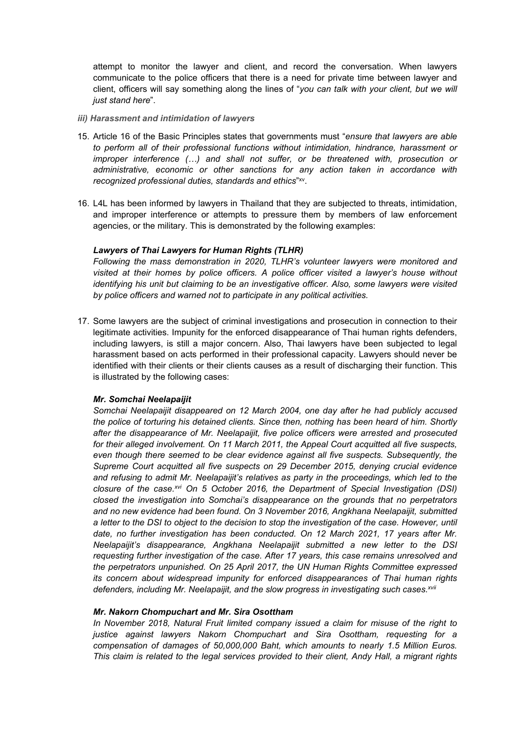attempt to monitor the lawyer and client, and record the conversation. When lawyers communicate to the police officers that there is <sup>a</sup> need for private time between lawyer and client, officers will say something along the lines of "*you can talk with your client, but we will just stand here*".

- *iii) Harassment and intimidation of lawyers*
- 15. Article 16 of the Basic Principles states that governments must "*ensure that lawyers are able to perform all of their professional functions without intimidation, hindrance, harassment or improper interference (…) and shall not suffer, or be threatened with, prosecution or administrative, economic or other sanctions for any action taken in accordance with recognized professional duties, standards and ethics*" xv .
- 16. L4L has been informed by lawyers in Thailand that they are subjected to threats, intimidation, and improper interference or attempts to pressure them by members of law enforcement agencies, or the military. This is demonstrated by the following examples:

## *Lawyers of Thai Lawyers for Human Rights (TLHR)*

*Following the mass demonstration in 2020, TLHR'<sup>s</sup> volunteer lawyers were monitored and visited at their homes by police officers. A police officer visited <sup>a</sup> lawyer'<sup>s</sup> house without identifying his unit but claiming to be an investigative officer. Also, some lawyers were visited by police officers and warned not to participate in any political activities.*

17. Some lawyers are the subject of criminal investigations and prosecution in connection to their legitimate activities. Impunity for the enforced disappearance of Thai human rights defenders, including lawyers, is still <sup>a</sup> major concern. Also, Thai lawyers have been subjected to legal harassment based on acts performed in their professional capacity. Lawyers should never be identified with their clients or their clients causes as <sup>a</sup> result of discharging their function. This is illustrated by the following cases:

## *Mr. Somchai Neelapaijit*

*Somchai Neelapaijit disappeared on 12 March 2004, one day after he had publicly accused the police of torturing his detained clients. Since then, nothing has been heard of him. Shortly after the disappearance of Mr. Neelapaijit, five police officers were arrested and prosecuted for their alleged involvement. On 11 March 2011, the Appeal Court acquitted all five suspects, even though there seemed to be clear evidence against all five suspects. Subsequently, the Supreme Court acquitted all five suspects on 29 December 2015, denying crucial evidence and refusing to admit Mr. Neelapaijit'<sup>s</sup> relatives as party in the proceedings, which led to the closure of the case. xvi On 5 October 2016, the Department of Special Investigation (DSI) closed the investigation into Somchai'<sup>s</sup> disappearance on the grounds that no perpetrators and no new evidence had been found. On 3 November 2016, Angkhana Neelapaijit, submitted* a letter to the DSI to object to the decision to stop the investigation of the case. However, until *date, no further investigation has been conducted. On 12 March 2021, 17 years after Mr. Neelapaijit'<sup>s</sup> disappearance, Angkhana Neelapaijit submitted <sup>a</sup> new letter to the DSI requesting further investigation of the case. After 17 years, this case remains unresolved and the perpetrators unpunished. On 25 April 2017, the UN Human Rights Committee expressed its concern about widespread impunity for enforced disappearances of Thai human rights defenders, including Mr. Neelapaijit, and the slow progress in investigating such cases. xvii*

## *Mr. Nakorn Chompuchart and Mr. Sira Osottham*

*In November 2018, Natural Fruit limited company issued <sup>a</sup> claim for misuse of the right to justice against lawyers Nakorn Chompuchart and Sira Osottham, requesting for <sup>a</sup> compensation of damages of 50,000,000 Baht, which amounts to nearly 1.5 Million Euros. This claim is related to the legal services provided to their client, Andy Hall, <sup>a</sup> migrant rights*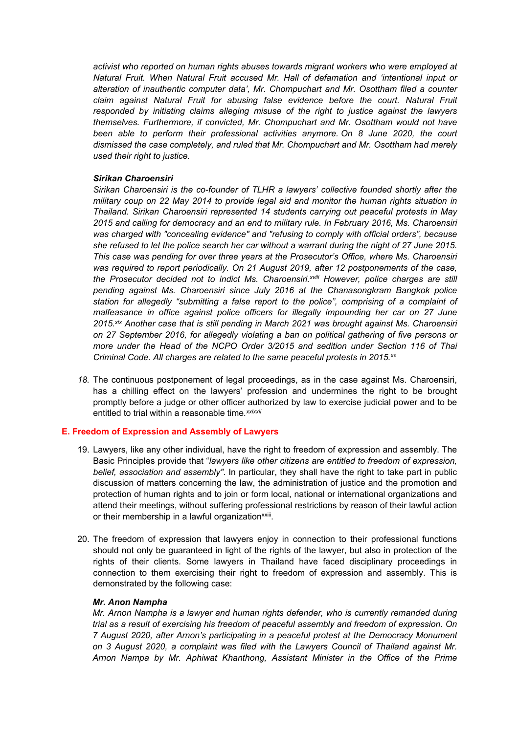*activist who reported on human rights abuses towards migrant workers who were employed at Natural Fruit. When Natural Fruit accused Mr. Hall of defamation and 'intentional input or alteration of inauthentic computer data', Mr. Chompuchart and Mr. Osottham filed <sup>a</sup> counter claim against Natural Fruit for abusing false evidence before the court. Natural Fruit responded by initiating claims alleging misuse of the right to justice against the lawyers themselves. Furthermore, if convicted, Mr. Chompuchart and Mr. Osottham would not have been able to perform their professional activities anymore. On 8 June 2020, the court dismissed the case completely, and ruled that Mr. Chompuchart and Mr. Osottham had merely used their right to justice.*

#### *Sirikan Charoensiri*

*Sirikan Charoensiri is the co-founder of TLHR <sup>a</sup> lawyers' collective founded shortly after the military coup on 22 May 2014 to provide legal aid and monitor the human rights situation in Thailand. Sirikan Charoensiri represented 14 students carrying out peaceful protests in May 2015 and calling for democracy and an end to military rule. In February 2016, Ms. Charoensiri was charged with "concealing evidence" and "refusing to comply with official orders", because* she refused to let the police search her car without a warrant during the night of 27 June 2015. *This case was pending for over three years at the Prosecutor'<sup>s</sup> Office, where Ms. Charoensiri was required to report periodically. On 21 August 2019, after 12 postponements of the case, the Prosecutor decided not to indict Ms. Charoensiri. xviii However, police charges are still pending against Ms. Charoensiri since July 2016 at the Chanasongkram Bangkok police station for allegedly "submitting <sup>a</sup> false report to the police", comprising of <sup>a</sup> complaint of malfeasance in office against police officers for illegally impounding her car on 27 June 2015. xix Another case that is still pending in March 2021 was brought against Ms. Charoensiri on 27 September 2016, for allegedly violating <sup>a</sup> ban on political gathering of five persons or more under the Head of the NCPO Order 3/2015 and sedition under Section 116 of Thai Criminal Code. All charges are related to the same peaceful protests in 2015. xx*

*18.* The continuous postponement of legal proceedings, as in the case against Ms. Charoensiri, has <sup>a</sup> chilling effect on the lawyers' profession and undermines the right to be brought promptly before <sup>a</sup> judge or other officer authorized by law to exercise judicial power and to be entitled to trial within a reasonable time*. xxixxii*

## **E. Freedom of Expression and Assembly of Lawyers**

- 19. Lawyers, like any other individual, have the right to freedom of expression and assembly. The Basic Principles provide that "*lawyers like other citizens are entitled to freedom of expression, belief, association and assembly"*. In particular, they shall have the right to take part in public discussion of matters concerning the law, the administration of justice and the promotion and protection of human rights and to join or form local, national or international organizations and attend their meetings, without suffering professional restrictions by reason of their lawful action or their membership in a lawful organization $^{\mathsf{xxiii}}$
- 20. The freedom of expression that lawyers enjoy in connection to their professional functions should not only be guaranteed in light of the rights of the lawyer, but also in protection of the rights of their clients. Some lawyers in Thailand have faced disciplinary proceedings in connection to them exercising their right to freedom of expression and assembly. This is demonstrated by the following case:

#### *Mr. Anon Nampha*

*Mr. Arnon Nampha is <sup>a</sup> lawyer and human rights defender, who is currently remanded during trial as <sup>a</sup> result of exercising his freedom of peaceful assembly and freedom of expression. On 7 August 2020, after Arnon'<sup>s</sup> participating in <sup>a</sup> peaceful protest at the Democracy Monument on 3 August 2020, <sup>a</sup> complaint was filed with the Lawyers Council of Thailand against Mr. Arnon Nampa by Mr. Aphiwat Khanthong, Assistant Minister in the Office of the Prime*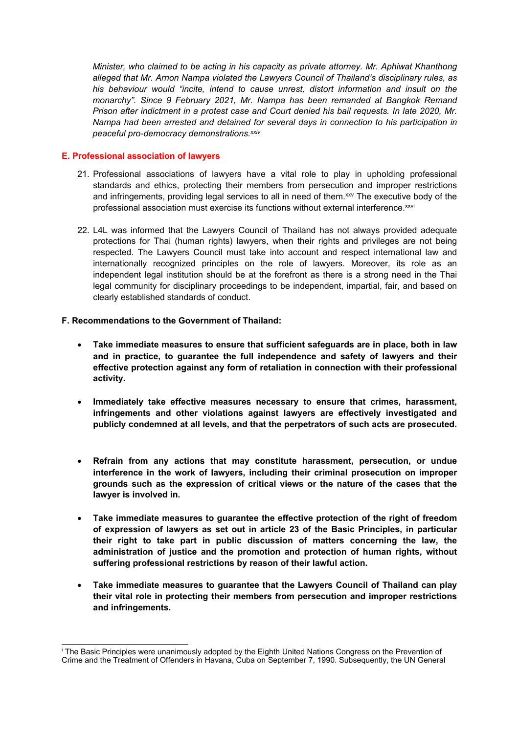*Minister, who claimed to be acting in his capacity as private attorney. Mr. Aphiwat Khanthong alleged that Mr. Arnon Nampa violated the Lawyers Council of Thailand'<sup>s</sup> disciplinary rules, as his behaviour would "incite, intend to cause unrest, distort information and insult on the monarchy". Since 9 February 2021, Mr. Nampa has been remanded at Bangkok Remand Prison after indictment in <sup>a</sup> protest case and Court denied his bail requests. In late 2020, Mr. Nampa had been arrested and detained for several days in connection to his participation in peaceful pro-democracy demonstrations. xxiv*

# **E. Professional association of lawyers**

- 21. Professional associations of lawyers have <sup>a</sup> vital role to play in upholding professional standards and ethics, protecting their members from persecution and improper restrictions and infringements, providing legal services to all in need of them.<sup>xxv</sup> The executive body of the professional association must exercise its functions without external interference.<sup>xxv</sup>
- 22. L4L was informed that the Lawyers Council of Thailand has not always provided adequate protections for Thai (human rights) lawyers, when their rights and privileges are not being respected. The Lawyers Council must take into account and respect international law and internationally recognized principles on the role of lawyers. Moreover, its role as an independent legal institution should be at the forefront as there is <sup>a</sup> strong need in the Thai legal community for disciplinary proceedings to be independent, impartial, fair, and based on clearly established standards of conduct.

# **F. Recommendations to the Government of Thailand:**

- c **Take immediate measures to ensure that sufficient safeguards are in place, both in law and in practice, to guarantee the full independence and safety of lawyers and their effective protection against any form of retaliation in connection with their professional activity.**
- e **Immediately take effective measures necessary to ensure that crimes, harassment, infringements and other violations against lawyers are effectively investigated and publicly condemned at all levels, and that the perpetrators of such acts are prosecuted.**
- c **Refrain from any actions that may constitute harassment, persecution, or undue interference in the work of lawyers, including their criminal prosecution on improper grounds such as the expression of critical views or the nature of the cases that the lawyer is involved in.**
- **Take immediate measures to guarantee the effective protection of the right of freedom of expression of lawyers as set out in article 23 of the Basic Principles, in particular their right to take part in public discussion of matters concerning the law, the administration of justice and the promotion and protection of human rights, without suffering professional restrictions by reason of their lawful action.**
- $\bullet$  **Take immediate measures to guarantee that the Lawyers Council of Thailand can play their vital role in protecting their members from persecution and improper restrictions and infringements.**

i The Basic Principles were unanimously adopted by the Eighth United Nations Congress on the Prevention of Crime and the Treatment of Offenders in Havana, Cuba on September 7, 1990. Subsequently, the UN General